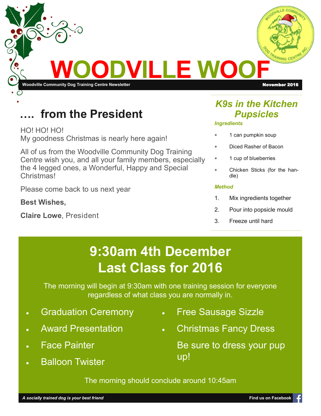

## from the President

HO! HO! HO! My goodness Christmas is nearly here again!

All of us from the Woodville Community Dog Training Centre wish you, and all your family members, especially the 4 legged ones, a Wonderful, Happy and Special Christmas!

Please come back to us next year

**Best Wishes,**

**Claire Lowe**, President

### *K9s in the Kitchen Pupsicles*

#### *Ingredients*

- 1 can pumpkin soup
- Diced Rasher of Bacon
- 1 cup of blueberries
- Chicken Sticks (for the handle)

#### *Method*

- 1. Mix ingredients together
- 2. Pour into popsicle mould
- 3. Freeze until hard

# **9:30am 4th December Last Class for 2016**

The morning will begin at 9:30am with one training session for everyone regardless of what class you are normally in.

- Graduation Ceremony
- Award Presentation
- Face Painter
- **Balloon Twister**
- Free Sausage Sizzle
- Christmas Fancy Dress

Be sure to dress your pup up!

The morning should conclude around 10:45am